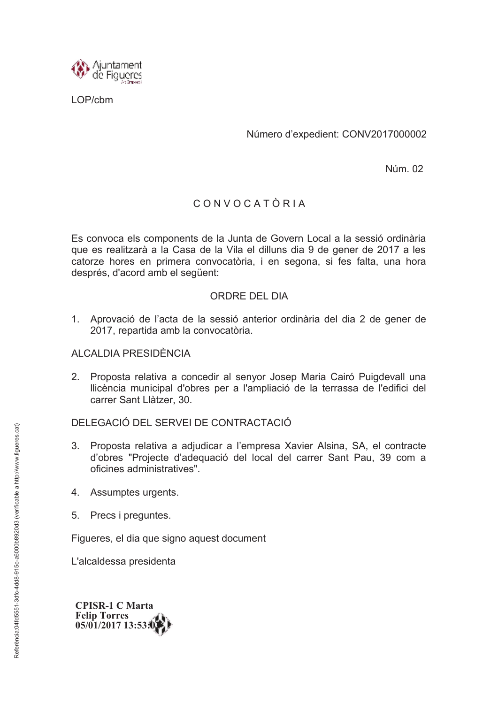

I OP/chm

Número d'expedient: CONV2017000002

Núm. 02

## CONVOCATÒRIA

Es convoca els components de la Junta de Govern Local a la sessió ordinària que es realitzarà a la Casa de la Vila el dilluns dia 9 de gener de 2017 a les catorze hores en primera convocatòria, i en segona, si fes falta, una hora després, d'acord amb el següent:

## ORDRE DEL DIA

1. Aprovació de l'acta de la sessió anterior ordinària del dia 2 de gener de 2017, repartida amb la convocatòria.

## **ALCALDIA PRESIDÈNCIA**

Proposta relativa a concedir al senyor Josep Maria Cairó Puigdevall una  $2<sub>1</sub>$ Ilicència municipal d'obres per a l'ampliació de la terrassa de l'edifici del carrer Sant Llàtzer. 30.

## DELEGACIÓ DEL SERVELDE CONTRACTACIÓ

- Proposta relativa a adjudicar a l'empresa Xavier Alsina, SA, el contracte  $3<sub>1</sub>$ d'obres "Projecte d'adequació del local del carrer Sant Pau, 39 com a oficines administratives".
- 4. Assumptes urgents.
- 5. Precs i preguntes.

Figueres, el dia que signo aquest document

L'alcaldessa presidenta

**CPISR-1 C Marta Felip Torres** 05/01/2017 13:53: